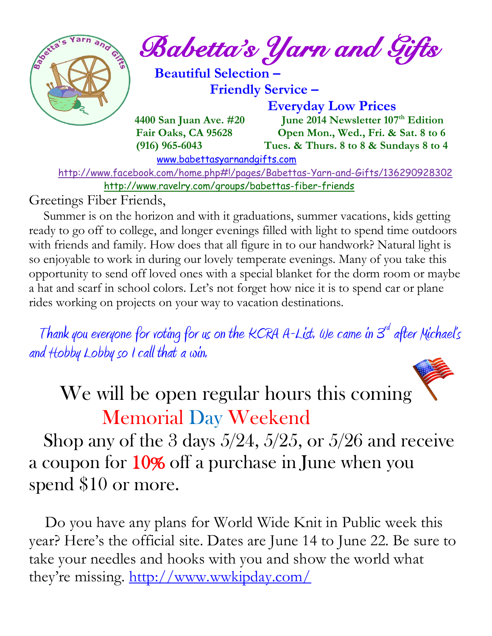

 $\frac{1}{2}$  and  $\frac{1}{2}$  Babetta's Yarn and Gifts

 **Beautiful Selection – Friendly Service –**

 **Everyday Low Prices**

 **4400 San Juan Ave. #20** June 2014 Newsletter 107<sup>th</sup> Edition  **Fair Oaks, CA 95628 Open Mon., Wed., Fri. & Sat. 8 to 6 (916) 965-6043 Tues. & Thurs. 8 to 8 & Sundays 8 to 4** 

[www.babettasyarnandgifts.com](http://www.babettasyarnandgifts.com/)

 <http://www.facebook.com/home.php#!/pages/Babettas-Yarn-and-Gifts/136290928302> <http://www.ravelry.com/groups/babettas-fiber-friends>

Greetings Fiber Friends,

 Summer is on the horizon and with it graduations, summer vacations, kids getting ready to go off to college, and longer evenings filled with light to spend time outdoors with friends and family. How does that all figure in to our handwork? Natural light is so enjoyable to work in during our lovely temperate evenings. Many of you take this opportunity to send off loved ones with a special blanket for the dorm room or maybe a hat and scarf in school colors. Let's not forget how nice it is to spend car or plane rides working on projects on your way to vacation destinations.

Thank you everyone for voting for us on the KCRA A-List. We came in  $\mathcal{S}^d$  after Michael's and Hobby Lobby so I call that a win.

We will be open regular hours this coming Memorial Day Weekend

Shop any of the 3 days  $5/24$ ,  $5/25$ , or  $5/26$  and receive a coupon for 10% off a purchase in June when you spend \$10 or more.

 Do you have any plans for World Wide Knit in Public week this year? Here's the official site. Dates are June 14 to June 22. Be sure to take your needles and hooks with you and show the world what they're missing. <http://www.wwkipday.com/>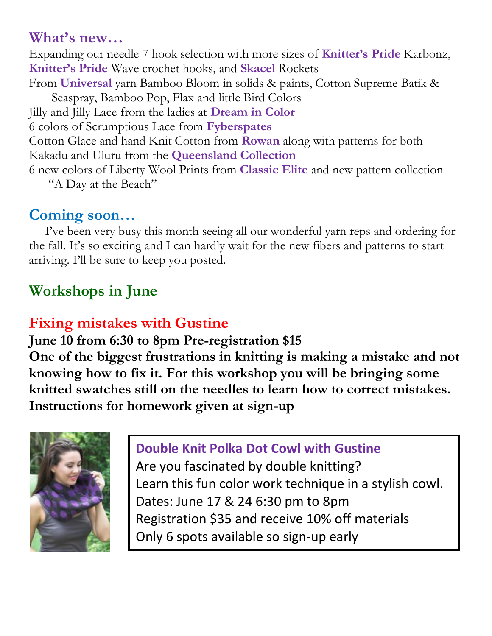### **What's new…**

Expanding our needle 7 hook selection with more sizes of **Knitter's Pride** Karbonz, **Knitter's Pride** Wave crochet hooks, and **Skacel** Rockets From **Universal** yarn Bamboo Bloom in solids & paints, Cotton Supreme Batik & Seaspray, Bamboo Pop, Flax and little Bird Colors Jilly and Jilly Lace from the ladies at **Dream in Color** 6 colors of Scrumptious Lace from **Fyberspates** Cotton Glace and hand Knit Cotton from **Rowan** along with patterns for both Kakadu and Uluru from the **Queensland Collection** 6 new colors of Liberty Wool Prints from **Classic Elite** and new pattern collection

"A Day at the Beach"

## **Coming soon…**

 I've been very busy this month seeing all our wonderful yarn reps and ordering for the fall. It's so exciting and I can hardly wait for the new fibers and patterns to start arriving. I'll be sure to keep you posted.

## **Workshops in June**

## **Fixing mistakes with Gustine**

**June 10 from 6:30 to 8pm Pre-registration \$15 One of the biggest frustrations in knitting is making a mistake and not knowing how to fix it. For this workshop you will be bringing some knitted swatches still on the needles to learn how to correct mistakes. Instructions for homework given at sign-up**



### **Double Knit Polka Dot Cowl with Gustine**

Are you fascinated by double knitting? Learn this fun color work technique in a stylish cowl. Dates: June 17 & 24 6:30 pm to 8pm Registration \$35 and receive 10% off materials Only 6 spots available so sign-up early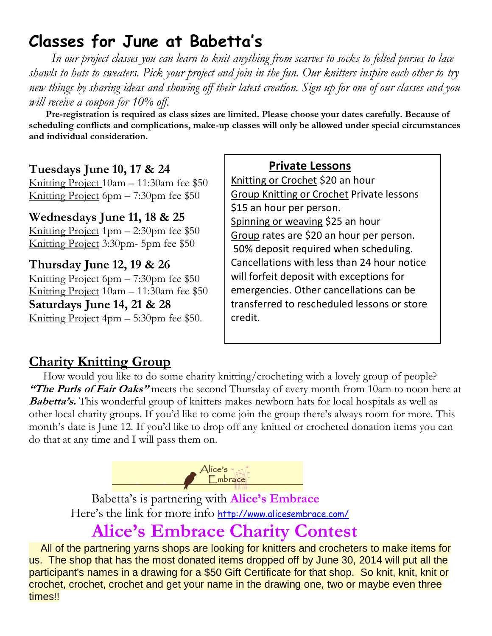# **Classes for June at Babetta's**

 *In our project classes you can learn to knit anything from scarves to socks to felted purses to lace shawls to hats to sweaters. Pick your project and join in the fun. Our knitters inspire each other to try new things by sharing ideas and showing off their latest creation. Sign up for one of our classes and you will receive a coupon for 10% off.*

 **Pre-registration is required as class sizes are limited. Please choose your dates carefully. Because of scheduling conflicts and complications, make-up classes will only be allowed under special circumstances and individual consideration.**

#### **Tuesdays June 10, 17 & 24**

Knitting Project 10am – 11:30am fee \$50 Knitting Project 6pm – 7:30pm fee \$50

#### **Wednesdays June 11, 18 & 25**

Knitting Project 1pm – 2:30pm fee \$50 Knitting Project 3:30pm- 5pm fee \$50

**Thursday June 12, 19 & 26** Knitting Project 6pm – 7:30pm fee \$50 Knitting Project 10am – 11:30am fee \$50 **Saturdays June 14, 21 & 28** Knitting Project 4pm – 5:30pm fee \$50.

 **Private Lessons**  Knitting or Crochet \$20 an hour Group Knitting or Crochet Private lessons \$15 an hour per person. Spinning or weaving \$25 an hour Group rates are \$20 an hour per person. 50% deposit required when scheduling. Cancellations with less than 24 hour notice will forfeit deposit with exceptions for emergencies. Other cancellations can be transferred to rescheduled lessons or store credit.

### **Charity Knitting Group**

 How would you like to do some charity knitting/crocheting with a lovely group of people? **"The Purls of Fair Oaks"** meets the second Thursday of every month from 10am to noon here at **Babetta's.** This wonderful group of knitters makes newborn hats for local hospitals as well as other local charity groups. If you'd like to come join the group there's always room for more. This month's date is June 12. If you'd like to drop off any knitted or crocheted donation items you can do that at any time and I will pass them on.



Babetta's is partnering with **Alice's Embrace** Here's the link for more info <http://www.alicesembrace.com/>

## **Alice's Embrace Charity Contest**

 All of the partnering yarns shops are looking for knitters and crocheters to make items for us. The shop that has the most donated items dropped off by June 30, 2014 will put all the participant's names in a drawing for a \$50 Gift Certificate for that shop. So knit, knit, knit or crochet, crochet, crochet and get your name in the drawing one, two or maybe even three times!!